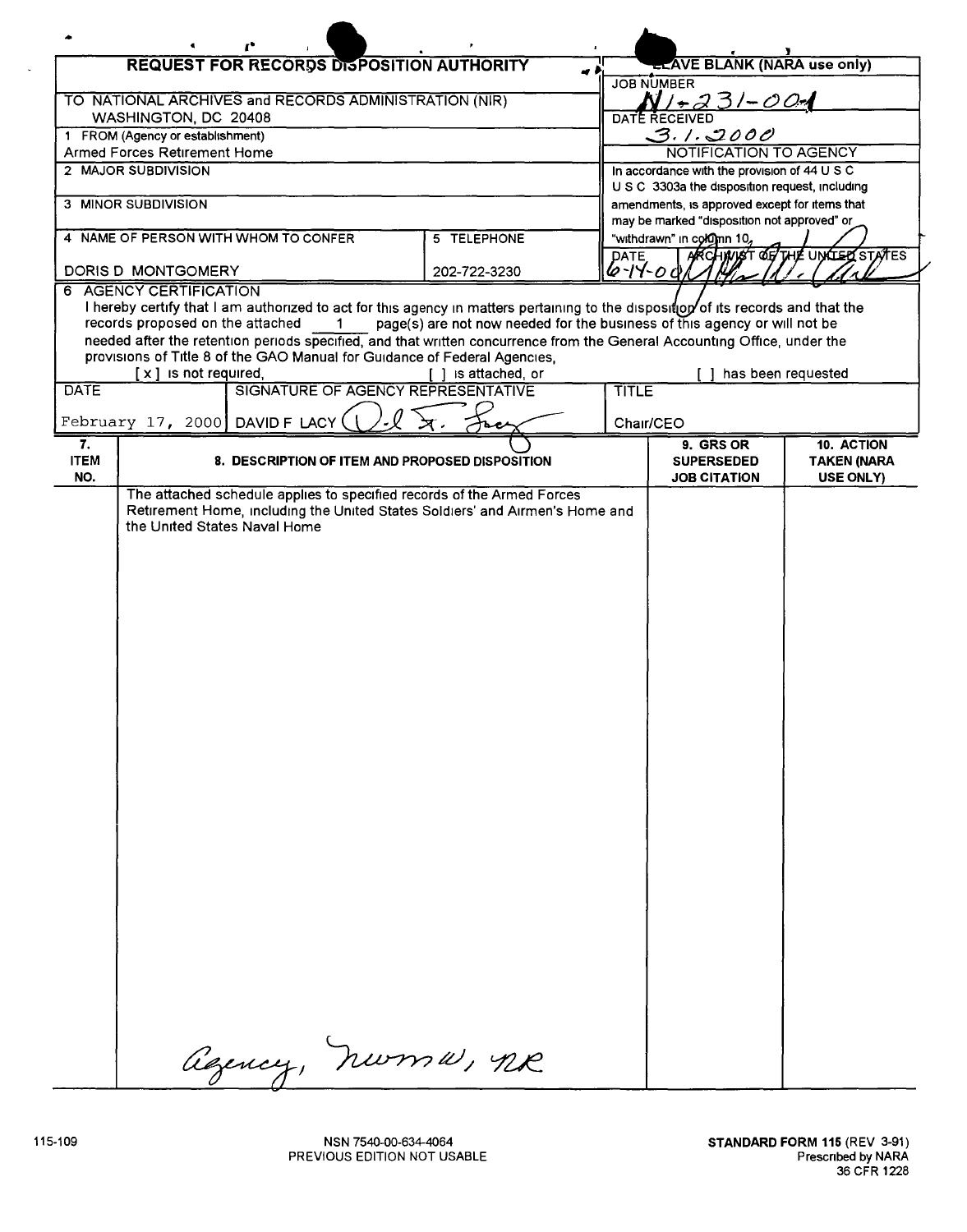| <b>REQUEST FOR RECORDS DISPOSITION AUTHORITY</b>                                                                                                                                                                                                        |                                                                                                                                                        |                                                 |              | <b>ELAVE BLANK (NARA use only)</b>                                                             |                               |                    |  |
|---------------------------------------------------------------------------------------------------------------------------------------------------------------------------------------------------------------------------------------------------------|--------------------------------------------------------------------------------------------------------------------------------------------------------|-------------------------------------------------|--------------|------------------------------------------------------------------------------------------------|-------------------------------|--------------------|--|
|                                                                                                                                                                                                                                                         |                                                                                                                                                        |                                                 |              | <b>JOB NUMBER</b>                                                                              |                               |                    |  |
| TO NATIONAL ARCHIVES and RECORDS ADMINISTRATION (NIR)<br>WASHINGTON, DC 20408                                                                                                                                                                           |                                                                                                                                                        |                                                 |              | $N + 231 - 004$<br>DATE RECEIVED                                                               |                               |                    |  |
| 1 FROM (Agency or establishment)                                                                                                                                                                                                                        |                                                                                                                                                        |                                                 |              | 3.1.2000                                                                                       |                               |                    |  |
| Armed Forces Retirement Home                                                                                                                                                                                                                            |                                                                                                                                                        |                                                 |              | <b>NOTIFICATION TO AGENCY</b>                                                                  |                               |                    |  |
| 2 MAJOR SUBDIVISION                                                                                                                                                                                                                                     |                                                                                                                                                        |                                                 |              | In accordance with the provision of 44 U S C<br>U S C 3303a the disposition request, including |                               |                    |  |
| 3 MINOR SUBDIVISION                                                                                                                                                                                                                                     |                                                                                                                                                        |                                                 |              | amendments, is approved except for items that                                                  |                               |                    |  |
| 4 NAME OF PERSON WITH WHOM TO CONFER<br>5 TELEPHONE                                                                                                                                                                                                     |                                                                                                                                                        |                                                 |              | may be marked "disposition not approved" or<br>"withdrawn" in colomn 10,                       |                               |                    |  |
|                                                                                                                                                                                                                                                         |                                                                                                                                                        |                                                 |              | <b>DATE</b>                                                                                    | ARCHWIST OF THE UNITED STATES |                    |  |
| DORIS D MONTGOMERY                                                                                                                                                                                                                                      |                                                                                                                                                        |                                                 | 202-722-3230 |                                                                                                | $6 - 14 - 00$                 |                    |  |
| 6 AGENCY CERTIFICATION                                                                                                                                                                                                                                  |                                                                                                                                                        |                                                 |              |                                                                                                |                               |                    |  |
| I hereby certify that I am authorized to act for this agency in matters pertaining to the disposition of its records and that the<br>page(s) are not now needed for the business of this agency or will not be<br>records proposed on the attached<br>1 |                                                                                                                                                        |                                                 |              |                                                                                                |                               |                    |  |
| needed after the retention periods specified, and that written concurrence from the General Accounting Office, under the                                                                                                                                |                                                                                                                                                        |                                                 |              |                                                                                                |                               |                    |  |
| provisions of Title 8 of the GAO Manual for Guidance of Federal Agencies,<br>$[x]$ is not required,<br>1 is attached, or                                                                                                                                |                                                                                                                                                        |                                                 |              |                                                                                                | has been requested            |                    |  |
| <b>DATE</b>                                                                                                                                                                                                                                             |                                                                                                                                                        | SIGNATURE OF AGENCY REPRESENTATIVE              |              | TITLE                                                                                          |                               |                    |  |
|                                                                                                                                                                                                                                                         |                                                                                                                                                        |                                                 |              |                                                                                                | Chair/CEO                     |                    |  |
| 7.                                                                                                                                                                                                                                                      | February 17, 2000 DAVID F LACY                                                                                                                         |                                                 |              |                                                                                                | 9. GRS OR                     | 10. ACTION         |  |
| <b>ITEM</b>                                                                                                                                                                                                                                             |                                                                                                                                                        | 8. DESCRIPTION OF ITEM AND PROPOSED DISPOSITION |              |                                                                                                | <b>SUPERSEDED</b>             | <b>TAKEN (NARA</b> |  |
| NO.                                                                                                                                                                                                                                                     |                                                                                                                                                        |                                                 |              |                                                                                                | <b>JOB CITATION</b>           | USE ONLY)          |  |
|                                                                                                                                                                                                                                                         | The attached schedule applies to specified records of the Armed Forces<br>Retirement Home, including the United States Soldiers' and Airmen's Home and |                                                 |              |                                                                                                |                               |                    |  |
|                                                                                                                                                                                                                                                         | the United States Naval Home                                                                                                                           |                                                 |              |                                                                                                |                               |                    |  |
|                                                                                                                                                                                                                                                         |                                                                                                                                                        |                                                 |              |                                                                                                |                               |                    |  |
|                                                                                                                                                                                                                                                         |                                                                                                                                                        |                                                 |              |                                                                                                |                               |                    |  |
|                                                                                                                                                                                                                                                         |                                                                                                                                                        |                                                 |              |                                                                                                |                               |                    |  |
|                                                                                                                                                                                                                                                         |                                                                                                                                                        |                                                 |              |                                                                                                |                               |                    |  |
|                                                                                                                                                                                                                                                         |                                                                                                                                                        |                                                 |              |                                                                                                |                               |                    |  |
|                                                                                                                                                                                                                                                         |                                                                                                                                                        |                                                 |              |                                                                                                |                               |                    |  |
|                                                                                                                                                                                                                                                         |                                                                                                                                                        |                                                 |              |                                                                                                |                               |                    |  |
|                                                                                                                                                                                                                                                         |                                                                                                                                                        |                                                 |              |                                                                                                |                               |                    |  |
|                                                                                                                                                                                                                                                         |                                                                                                                                                        |                                                 |              |                                                                                                |                               |                    |  |
|                                                                                                                                                                                                                                                         |                                                                                                                                                        |                                                 |              |                                                                                                |                               |                    |  |
|                                                                                                                                                                                                                                                         |                                                                                                                                                        |                                                 |              |                                                                                                |                               |                    |  |
|                                                                                                                                                                                                                                                         |                                                                                                                                                        |                                                 |              |                                                                                                |                               |                    |  |
|                                                                                                                                                                                                                                                         |                                                                                                                                                        |                                                 |              |                                                                                                |                               |                    |  |
|                                                                                                                                                                                                                                                         |                                                                                                                                                        |                                                 |              |                                                                                                |                               |                    |  |
|                                                                                                                                                                                                                                                         |                                                                                                                                                        |                                                 |              |                                                                                                |                               |                    |  |
|                                                                                                                                                                                                                                                         |                                                                                                                                                        |                                                 |              |                                                                                                |                               |                    |  |
|                                                                                                                                                                                                                                                         |                                                                                                                                                        |                                                 |              |                                                                                                |                               |                    |  |
|                                                                                                                                                                                                                                                         |                                                                                                                                                        |                                                 |              |                                                                                                |                               |                    |  |
|                                                                                                                                                                                                                                                         |                                                                                                                                                        |                                                 |              |                                                                                                |                               |                    |  |
|                                                                                                                                                                                                                                                         |                                                                                                                                                        |                                                 |              |                                                                                                |                               |                    |  |
|                                                                                                                                                                                                                                                         |                                                                                                                                                        |                                                 |              |                                                                                                |                               |                    |  |
|                                                                                                                                                                                                                                                         |                                                                                                                                                        |                                                 |              |                                                                                                |                               |                    |  |
|                                                                                                                                                                                                                                                         |                                                                                                                                                        |                                                 |              |                                                                                                |                               |                    |  |
|                                                                                                                                                                                                                                                         |                                                                                                                                                        |                                                 |              |                                                                                                |                               |                    |  |
|                                                                                                                                                                                                                                                         |                                                                                                                                                        | agency, numer, ne                               |              |                                                                                                |                               |                    |  |
|                                                                                                                                                                                                                                                         |                                                                                                                                                        |                                                 |              |                                                                                                |                               |                    |  |